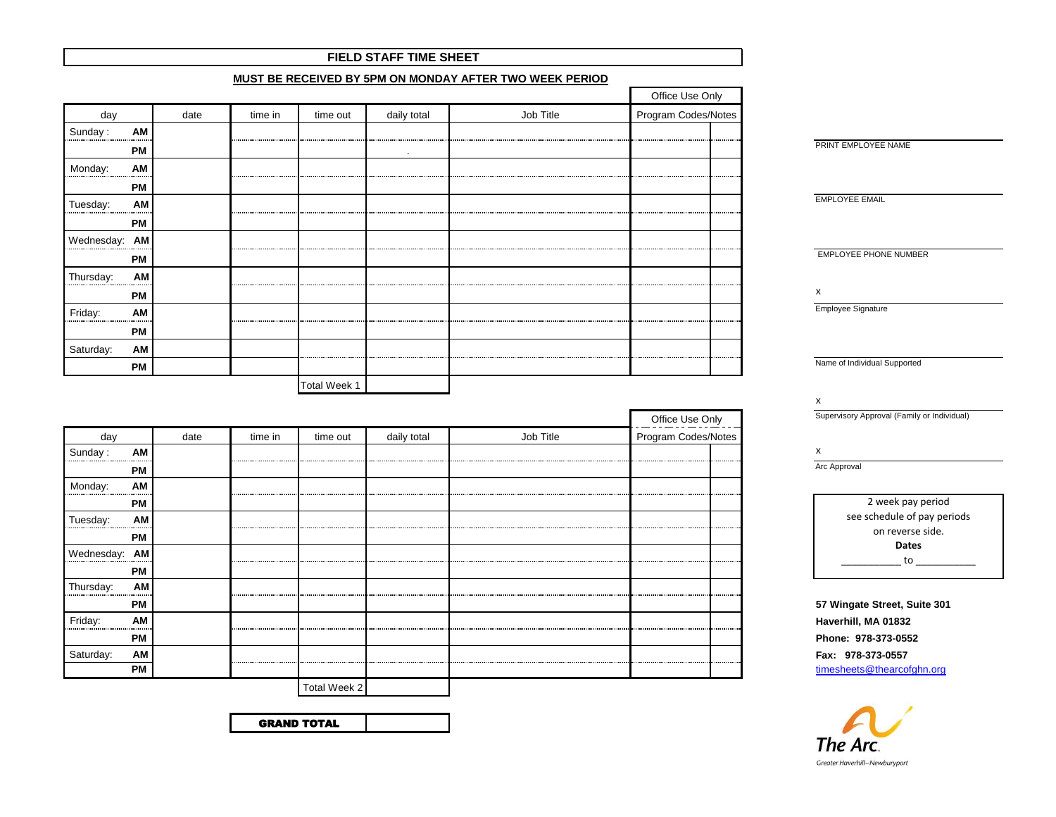|                   |      |         |                     |             | MUST BE RECEIVED BY 5PM ON MONDAY AFTER TWO WEEK PERIOD |                     |                              |
|-------------------|------|---------|---------------------|-------------|---------------------------------------------------------|---------------------|------------------------------|
|                   |      |         |                     |             |                                                         | Office Use Only     |                              |
| day               | date | time in | time out            | daily total | Job Title                                               | Program Codes/Notes |                              |
| Sunday:<br>AM<br> |      |         |                     |             |                                                         | .<br>               |                              |
| <b>PM</b>         |      |         |                     | $\bullet$   |                                                         |                     | PRINT EMPLOYEE NAME          |
| AM<br>Monday:     |      |         |                     |             |                                                         |                     |                              |
| <b>PM</b>         |      |         |                     |             |                                                         |                     |                              |
| AM<br>Tuesday:    |      |         |                     |             |                                                         |                     | <b>EMPLOYEE EMAIL</b>        |
| <b>PM</b>         |      |         |                     |             |                                                         |                     |                              |
| Wednesday: AM     |      |         |                     |             |                                                         |                     |                              |
| <b>PM</b>         |      |         |                     |             |                                                         |                     | <b>EMPLOYEE PHONE NUMBER</b> |
| AM<br>Thursday:   |      |         |                     |             |                                                         | .                   |                              |
| <b>PM</b>         |      |         |                     |             |                                                         |                     | х                            |
| Friday:<br>AM     |      |         |                     |             |                                                         |                     | Employee Signature           |
| <b>PM</b>         |      |         |                     |             |                                                         |                     |                              |
| Saturday:<br>AM   |      |         |                     |             |                                                         | <b></b>             |                              |
| <b>PM</b>         |      |         |                     |             |                                                         |                     | Name of Individual Supported |
|                   |      |         | <b>Total Week 1</b> |             |                                                         |                     |                              |

**FIELD STAFF TIME SHEET**

|               |           |      |                               |              |             |           |                                                 | Supervisory  |
|---------------|-----------|------|-------------------------------|--------------|-------------|-----------|-------------------------------------------------|--------------|
| day           |           | date | time in                       | time out     | daily total | Job Title | Office Use Only<br>Program Codes/Notes          |              |
| Sunday:       | AM        |      |                               |              |             |           |                                                 | х            |
|               | <b>PM</b> |      |                               |              |             |           |                                                 | Arc Approval |
| Monday:       | AM        |      |                               |              |             |           |                                                 |              |
|               | <b>PM</b> |      |                               |              |             |           | <b><i><u><u>ALCOHOL: 49-445</u></u></i></b><br> |              |
| Tuesday:      | AM        |      |                               |              |             |           |                                                 | see          |
|               | <b>PM</b> |      |                               |              |             |           |                                                 |              |
| Wednesday: AM |           |      |                               |              |             |           |                                                 |              |
|               | PМ        |      |                               |              |             |           |                                                 |              |
| Thursday:     | AM        |      |                               |              |             |           |                                                 |              |
|               | <b>PM</b> |      | ----------------------------- |              |             |           |                                                 | 57 Winga     |
| Friday:       | AM        |      |                               |              |             |           |                                                 | Haverhill,   |
|               | <b>PM</b> |      |                               |              |             |           |                                                 | Phone: 9     |
| Saturday:     | AM        |      |                               |              |             |           |                                                 | Fax: 978     |
|               | <b>PM</b> |      |                               |              |             |           | .                                               | timesheet    |
|               |           |      |                               | Total Week 2 |             |           |                                                 |              |

GRAND TOTAL

x

Supervisory Approval (Family or Individual)

2 week pay period see schedule of pay periods on reverse side. **Dates**  $\_$  to  $\_$ 

 **PM 57 Wingate Street, Suite 301**  Haverhill, MA 01832  **PM Phone: 978-373-0552** Saturday: **AM Fax: 978-373-0557 [timesheets@thearcofghn.org](mailto:timesheets@thearcofghn.org)**